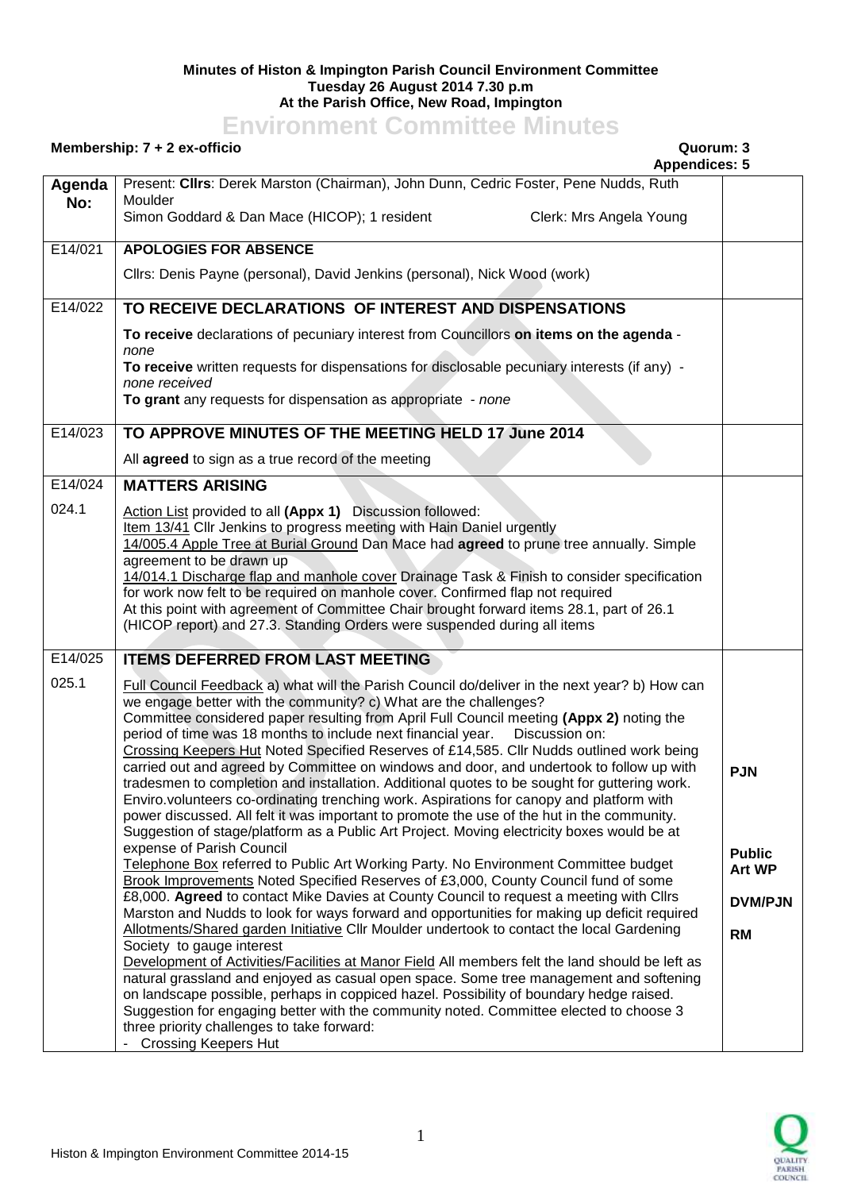## **Minutes of Histon & Impington Parish Council Environment Committee Tuesday 26 August 2014 7.30 p.m At the Parish Office, New Road, Impington**

## **Environment Committee Minutes**

## **Membership: 7 + 2 ex-officio Quorum: 3**

**Appendices: 5 Agenda No:** Present: **Cllrs**: Derek Marston (Chairman), John Dunn, Cedric Foster, Pene Nudds, Ruth Moulder Simon Goddard & Dan Mace (HICOP); 1 resident Clerk: Mrs Angela Young E14/021 **APOLOGIES FOR ABSENCE** Cllrs: Denis Payne (personal), David Jenkins (personal), Nick Wood (work) E14/022 **TO RECEIVE DECLARATIONS OF INTEREST AND DISPENSATIONS To receive** declarations of pecuniary interest from Councillors **on items on the agenda** *none* **To receive** written requests for dispensations for disclosable pecuniary interests (if any) *none received* **To grant** any requests for dispensation as appropriate - *none* E14/023 **TO APPROVE MINUTES OF THE MEETING HELD 17 June 2014** All **agreed** to sign as a true record of the meeting E14/024 024.1 **MATTERS ARISING** Action List provided to all **(Appx 1)** Discussion followed: Item 13/41 Cllr Jenkins to progress meeting with Hain Daniel urgently 14/005.4 Apple Tree at Burial Ground Dan Mace had **agreed** to prune tree annually. Simple agreement to be drawn up 14/014.1 Discharge flap and manhole cover Drainage Task & Finish to consider specification for work now felt to be required on manhole cover. Confirmed flap not required At this point with agreement of Committee Chair brought forward items 28.1, part of 26.1 (HICOP report) and 27.3. Standing Orders were suspended during all items E14/025 025.1 **ITEMS DEFERRED FROM LAST MEETING** Full Council Feedback a) what will the Parish Council do/deliver in the next year? b) How can we engage better with the community? c) What are the challenges? Committee considered paper resulting from April Full Council meeting **(Appx 2)** noting the period of time was 18 months to include next financial year. Discussion on: Crossing Keepers Hut Noted Specified Reserves of £14,585. Cllr Nudds outlined work being carried out and agreed by Committee on windows and door, and undertook to follow up with tradesmen to completion and installation. Additional quotes to be sought for guttering work. Enviro.volunteers co-ordinating trenching work. Aspirations for canopy and platform with power discussed. All felt it was important to promote the use of the hut in the community. Suggestion of stage/platform as a Public Art Project. Moving electricity boxes would be at expense of Parish Council Telephone Box referred to Public Art Working Party. No Environment Committee budget Brook Improvements Noted Specified Reserves of £3,000, County Council fund of some £8,000. **Agreed** to contact Mike Davies at County Council to request a meeting with Cllrs Marston and Nudds to look for ways forward and opportunities for making up deficit required Allotments/Shared garden Initiative Cllr Moulder undertook to contact the local Gardening Society to gauge interest Development of Activities/Facilities at Manor Field All members felt the land should be left as natural grassland and enjoyed as casual open space. Some tree management and softening on landscape possible, perhaps in coppiced hazel. Possibility of boundary hedge raised. Suggestion for engaging better with the community noted. Committee elected to choose 3 three priority challenges to take forward: - Crossing Keepers Hut **PJN Public Art WP DVM/PJN RM** 

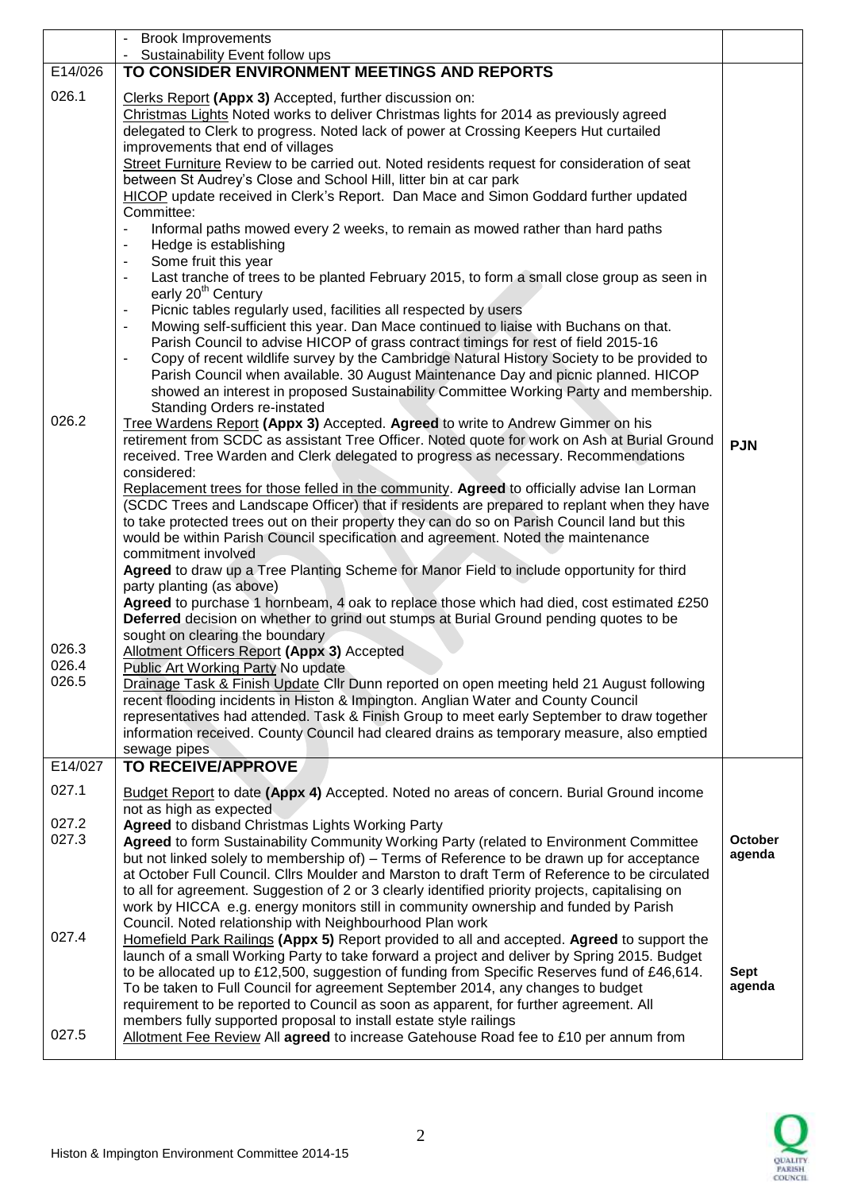|                | <b>Brook Improvements</b>                                                                                                                                                                                                                                                                                                                                                                                                                                               |                          |
|----------------|-------------------------------------------------------------------------------------------------------------------------------------------------------------------------------------------------------------------------------------------------------------------------------------------------------------------------------------------------------------------------------------------------------------------------------------------------------------------------|--------------------------|
| E14/026        | Sustainability Event follow ups<br>TO CONSIDER ENVIRONMENT MEETINGS AND REPORTS                                                                                                                                                                                                                                                                                                                                                                                         |                          |
| 026.1          |                                                                                                                                                                                                                                                                                                                                                                                                                                                                         |                          |
|                | Clerks Report (Appx 3) Accepted, further discussion on:<br>Christmas Lights Noted works to deliver Christmas lights for 2014 as previously agreed<br>delegated to Clerk to progress. Noted lack of power at Crossing Keepers Hut curtailed<br>improvements that end of villages                                                                                                                                                                                         |                          |
|                | Street Furniture Review to be carried out. Noted residents request for consideration of seat<br>between St Audrey's Close and School Hill, litter bin at car park                                                                                                                                                                                                                                                                                                       |                          |
|                | HICOP update received in Clerk's Report. Dan Mace and Simon Goddard further updated<br>Committee:                                                                                                                                                                                                                                                                                                                                                                       |                          |
|                | Informal paths mowed every 2 weeks, to remain as mowed rather than hard paths<br>$\blacksquare$<br>Hedge is establishing<br>$\overline{\phantom{a}}$<br>Some fruit this year<br>$\qquad \qquad \blacksquare$                                                                                                                                                                                                                                                            |                          |
|                | Last tranche of trees to be planted February 2015, to form a small close group as seen in<br>$\blacksquare$<br>early 20 <sup>th</sup> Century                                                                                                                                                                                                                                                                                                                           |                          |
|                | Picnic tables regularly used, facilities all respected by users<br>$\overline{\phantom{a}}$<br>Mowing self-sufficient this year. Dan Mace continued to liaise with Buchans on that.<br>$\blacksquare$                                                                                                                                                                                                                                                                   |                          |
|                | Parish Council to advise HICOP of grass contract timings for rest of field 2015-16<br>Copy of recent wildlife survey by the Cambridge Natural History Society to be provided to<br>$\blacksquare$<br>Parish Council when available. 30 August Maintenance Day and picnic planned. HICOP<br>showed an interest in proposed Sustainability Committee Working Party and membership.<br><b>Standing Orders re-instated</b>                                                  |                          |
| 026.2          | Tree Wardens Report (Appx 3) Accepted. Agreed to write to Andrew Gimmer on his<br>retirement from SCDC as assistant Tree Officer. Noted quote for work on Ash at Burial Ground<br>received. Tree Warden and Clerk delegated to progress as necessary. Recommendations<br>considered:                                                                                                                                                                                    | <b>PJN</b>               |
|                | Replacement trees for those felled in the community. Agreed to officially advise Ian Lorman<br>(SCDC Trees and Landscape Officer) that if residents are prepared to replant when they have<br>to take protected trees out on their property they can do so on Parish Council land but this<br>would be within Parish Council specification and agreement. Noted the maintenance<br>commitment involved                                                                  |                          |
|                | Agreed to draw up a Tree Planting Scheme for Manor Field to include opportunity for third<br>party planting (as above)                                                                                                                                                                                                                                                                                                                                                  |                          |
|                | Agreed to purchase 1 hornbeam, 4 oak to replace those which had died, cost estimated £250<br>Deferred decision on whether to grind out stumps at Burial Ground pending quotes to be                                                                                                                                                                                                                                                                                     |                          |
| 026.3          | sought on clearing the boundary<br>Allotment Officers Report (Appx 3) Accepted                                                                                                                                                                                                                                                                                                                                                                                          |                          |
| 026.4<br>026.5 | <b>Public Art Working Party No update</b>                                                                                                                                                                                                                                                                                                                                                                                                                               |                          |
|                | Drainage Task & Finish Update Cllr Dunn reported on open meeting held 21 August following<br>recent flooding incidents in Histon & Impington. Anglian Water and County Council<br>representatives had attended. Task & Finish Group to meet early September to draw together<br>information received. County Council had cleared drains as temporary measure, also emptied                                                                                              |                          |
|                | sewage pipes                                                                                                                                                                                                                                                                                                                                                                                                                                                            |                          |
| E14/027        | TO RECEIVE/APPROVE                                                                                                                                                                                                                                                                                                                                                                                                                                                      |                          |
| 027.1          | Budget Report to date (Appx 4) Accepted. Noted no areas of concern. Burial Ground income<br>not as high as expected                                                                                                                                                                                                                                                                                                                                                     |                          |
| 027.2          | Agreed to disband Christmas Lights Working Party                                                                                                                                                                                                                                                                                                                                                                                                                        |                          |
| 027.3          | Agreed to form Sustainability Community Working Party (related to Environment Committee<br>but not linked solely to membership of) – Terms of Reference to be drawn up for acceptance                                                                                                                                                                                                                                                                                   | <b>October</b><br>agenda |
|                | at October Full Council. Clirs Moulder and Marston to draft Term of Reference to be circulated<br>to all for agreement. Suggestion of 2 or 3 clearly identified priority projects, capitalising on<br>work by HICCA e.g. energy monitors still in community ownership and funded by Parish<br>Council. Noted relationship with Neighbourhood Plan work                                                                                                                  |                          |
| 027.4          | Homefield Park Railings (Appx 5) Report provided to all and accepted. Agreed to support the<br>launch of a small Working Party to take forward a project and deliver by Spring 2015. Budget<br>to be allocated up to £12,500, suggestion of funding from Specific Reserves fund of £46,614.<br>To be taken to Full Council for agreement September 2014, any changes to budget<br>requirement to be reported to Council as soon as apparent, for further agreement. All | <b>Sept</b><br>agenda    |
| 027.5          | members fully supported proposal to install estate style railings<br>Allotment Fee Review All agreed to increase Gatehouse Road fee to £10 per annum from                                                                                                                                                                                                                                                                                                               |                          |

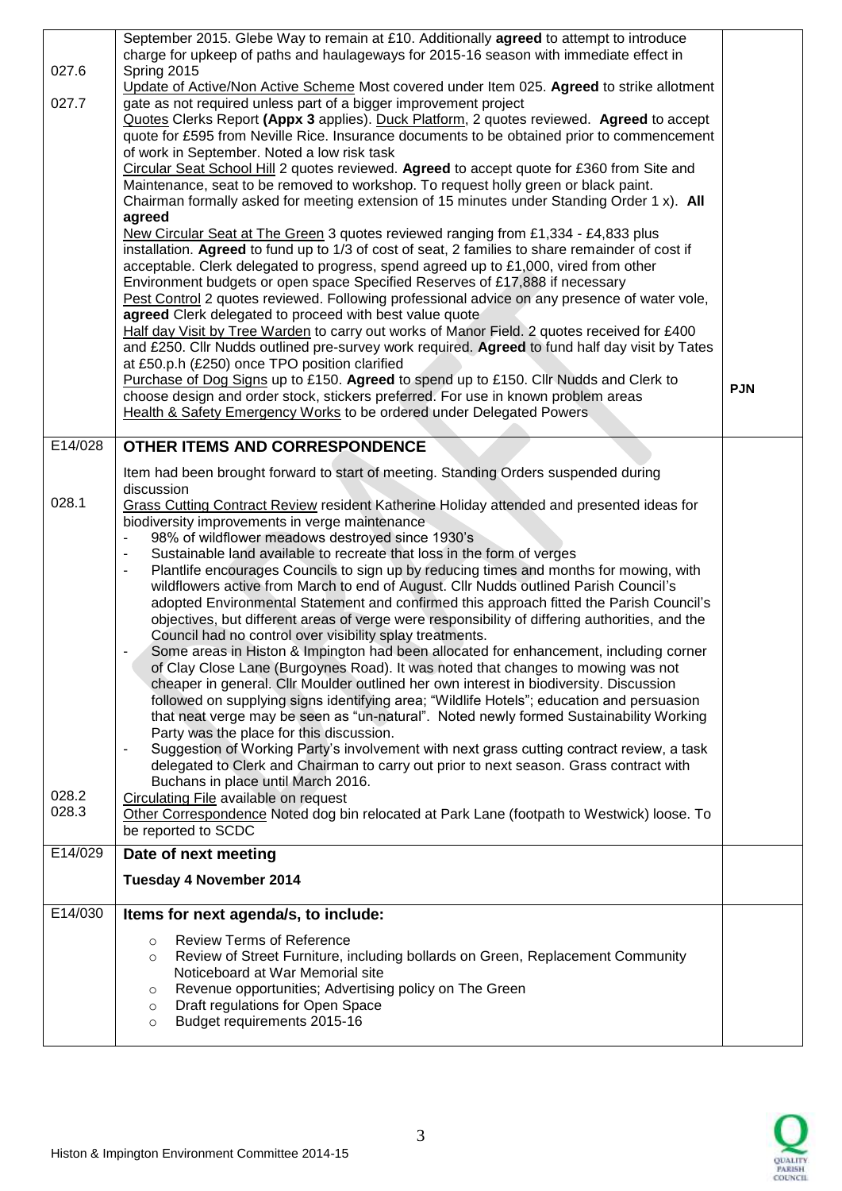| 027.6                   | September 2015. Glebe Way to remain at £10. Additionally agreed to attempt to introduce<br>charge for upkeep of paths and haulageways for 2015-16 season with immediate effect in<br>Spring 2015<br>Update of Active/Non Active Scheme Most covered under Item 025. Agreed to strike allotment                                                                                                                                                                                                                                                                                                                                                                                                                                                                                                                                                                                                                                                                                                                                                                                                                                                                                                                                                                                                                                                                                                                                                                                                                                                                                                                                                                                                      |            |
|-------------------------|-----------------------------------------------------------------------------------------------------------------------------------------------------------------------------------------------------------------------------------------------------------------------------------------------------------------------------------------------------------------------------------------------------------------------------------------------------------------------------------------------------------------------------------------------------------------------------------------------------------------------------------------------------------------------------------------------------------------------------------------------------------------------------------------------------------------------------------------------------------------------------------------------------------------------------------------------------------------------------------------------------------------------------------------------------------------------------------------------------------------------------------------------------------------------------------------------------------------------------------------------------------------------------------------------------------------------------------------------------------------------------------------------------------------------------------------------------------------------------------------------------------------------------------------------------------------------------------------------------------------------------------------------------------------------------------------------------|------------|
| 027.7                   | gate as not required unless part of a bigger improvement project<br>Quotes Clerks Report (Appx 3 applies). Duck Platform, 2 quotes reviewed. Agreed to accept<br>quote for £595 from Neville Rice. Insurance documents to be obtained prior to commencement<br>of work in September. Noted a low risk task<br>Circular Seat School Hill 2 quotes reviewed. Agreed to accept quote for £360 from Site and<br>Maintenance, seat to be removed to workshop. To request holly green or black paint.                                                                                                                                                                                                                                                                                                                                                                                                                                                                                                                                                                                                                                                                                                                                                                                                                                                                                                                                                                                                                                                                                                                                                                                                     |            |
|                         | Chairman formally asked for meeting extension of 15 minutes under Standing Order 1 x). All<br>agreed<br>New Circular Seat at The Green 3 quotes reviewed ranging from £1,334 - £4,833 plus<br>installation. Agreed to fund up to 1/3 of cost of seat, 2 families to share remainder of cost if<br>acceptable. Clerk delegated to progress, spend agreed up to £1,000, vired from other<br>Environment budgets or open space Specified Reserves of £17,888 if necessary<br>Pest Control 2 quotes reviewed. Following professional advice on any presence of water vole,<br>agreed Clerk delegated to proceed with best value quote<br>Half day Visit by Tree Warden to carry out works of Manor Field. 2 quotes received for £400<br>and £250. Cllr Nudds outlined pre-survey work required. Agreed to fund half day visit by Tates<br>at £50.p.h (£250) once TPO position clarified                                                                                                                                                                                                                                                                                                                                                                                                                                                                                                                                                                                                                                                                                                                                                                                                                 |            |
|                         | Purchase of Dog Signs up to £150. Agreed to spend up to £150. Cllr Nudds and Clerk to<br>choose design and order stock, stickers preferred. For use in known problem areas<br>Health & Safety Emergency Works to be ordered under Delegated Powers                                                                                                                                                                                                                                                                                                                                                                                                                                                                                                                                                                                                                                                                                                                                                                                                                                                                                                                                                                                                                                                                                                                                                                                                                                                                                                                                                                                                                                                  | <b>PJN</b> |
| E14/028                 | OTHER ITEMS AND CORRESPONDENCE                                                                                                                                                                                                                                                                                                                                                                                                                                                                                                                                                                                                                                                                                                                                                                                                                                                                                                                                                                                                                                                                                                                                                                                                                                                                                                                                                                                                                                                                                                                                                                                                                                                                      |            |
|                         | Item had been brought forward to start of meeting. Standing Orders suspended during<br>discussion                                                                                                                                                                                                                                                                                                                                                                                                                                                                                                                                                                                                                                                                                                                                                                                                                                                                                                                                                                                                                                                                                                                                                                                                                                                                                                                                                                                                                                                                                                                                                                                                   |            |
| 028.1<br>028.2<br>028.3 | Grass Cutting Contract Review resident Katherine Holiday attended and presented ideas for<br>biodiversity improvements in verge maintenance<br>98% of wildflower meadows destroyed since 1930's<br>Sustainable land available to recreate that loss in the form of verges<br>$\overline{\phantom{a}}$<br>Plantlife encourages Councils to sign up by reducing times and months for mowing, with<br>$\blacksquare$<br>wildflowers active from March to end of August. Cllr Nudds outlined Parish Council's<br>adopted Environmental Statement and confirmed this approach fitted the Parish Council's<br>objectives, but different areas of verge were responsibility of differing authorities, and the<br>Council had no control over visibility splay treatments.<br>Some areas in Histon & Impington had been allocated for enhancement, including corner<br>of Clay Close Lane (Burgoynes Road). It was noted that changes to mowing was not<br>cheaper in general. Cllr Moulder outlined her own interest in biodiversity. Discussion<br>followed on supplying signs identifying area; "Wildlife Hotels"; education and persuasion<br>that neat verge may be seen as "un-natural". Noted newly formed Sustainability Working<br>Party was the place for this discussion.<br>Suggestion of Working Party's involvement with next grass cutting contract review, a task<br>$\overline{\phantom{a}}$<br>delegated to Clerk and Chairman to carry out prior to next season. Grass contract with<br>Buchans in place until March 2016.<br>Circulating File available on request<br>Other Correspondence Noted dog bin relocated at Park Lane (footpath to Westwick) loose. To<br>be reported to SCDC |            |
| E14/029                 | Date of next meeting                                                                                                                                                                                                                                                                                                                                                                                                                                                                                                                                                                                                                                                                                                                                                                                                                                                                                                                                                                                                                                                                                                                                                                                                                                                                                                                                                                                                                                                                                                                                                                                                                                                                                |            |
|                         | Tuesday 4 November 2014                                                                                                                                                                                                                                                                                                                                                                                                                                                                                                                                                                                                                                                                                                                                                                                                                                                                                                                                                                                                                                                                                                                                                                                                                                                                                                                                                                                                                                                                                                                                                                                                                                                                             |            |
| E14/030                 | Items for next agenda/s, to include:                                                                                                                                                                                                                                                                                                                                                                                                                                                                                                                                                                                                                                                                                                                                                                                                                                                                                                                                                                                                                                                                                                                                                                                                                                                                                                                                                                                                                                                                                                                                                                                                                                                                |            |
|                         | <b>Review Terms of Reference</b><br>$\circ$<br>Review of Street Furniture, including bollards on Green, Replacement Community<br>$\circ$<br>Noticeboard at War Memorial site<br>Revenue opportunities; Advertising policy on The Green<br>$\circ$<br>Draft regulations for Open Space<br>$\circ$<br>Budget requirements 2015-16<br>$\circ$                                                                                                                                                                                                                                                                                                                                                                                                                                                                                                                                                                                                                                                                                                                                                                                                                                                                                                                                                                                                                                                                                                                                                                                                                                                                                                                                                          |            |